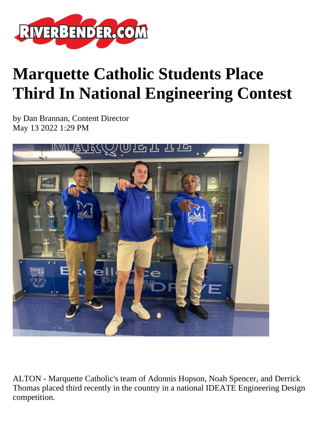

## **Marquette Catholic Students Place Third In National Engineering Contest**

by Dan Brannan, Content Director May 13 2022 1:29 PM



ALTON - Marquette Catholic's team of Adonnis Hopson, Noah Spencer, and Derrick Thomas placed third recently in the country in a national IDEATE Engineering Design competition.